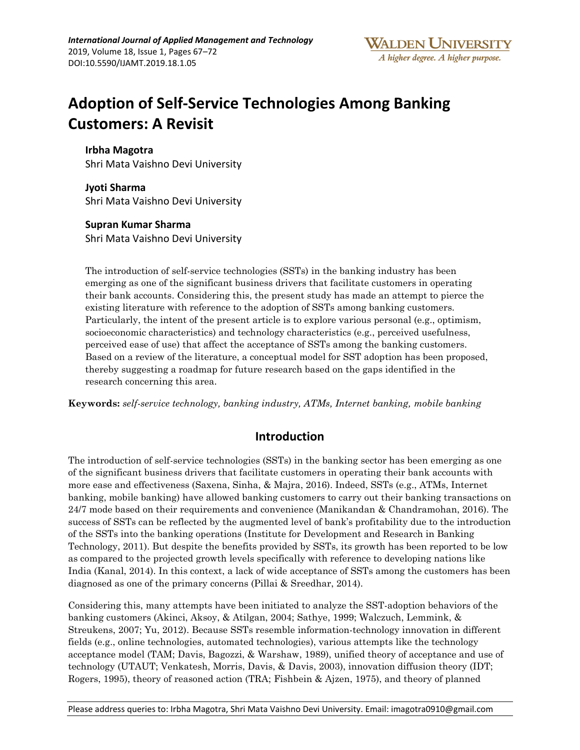# **Adoption of Self-Service Technologies Among Banking Customers: A Revisit**

**Irbha Magotra**  Shri Mata Vaishno Devi University

**Jyoti Sharma**  Shri Mata Vaishno Devi University

**Supran Kumar Sharma** 

Shri Mata Vaishno Devi University

The introduction of self-service technologies (SSTs) in the banking industry has been emerging as one of the significant business drivers that facilitate customers in operating their bank accounts. Considering this, the present study has made an attempt to pierce the existing literature with reference to the adoption of SSTs among banking customers. Particularly, the intent of the present article is to explore various personal (e.g., optimism, socioeconomic characteristics) and technology characteristics (e.g., perceived usefulness, perceived ease of use) that affect the acceptance of SSTs among the banking customers. Based on a review of the literature, a conceptual model for SST adoption has been proposed, thereby suggesting a roadmap for future research based on the gaps identified in the research concerning this area.

**Keywords:** *self-service technology, banking industry, ATMs, Internet banking, mobile banking*

## **Introduction**

The introduction of self-service technologies (SSTs) in the banking sector has been emerging as one of the significant business drivers that facilitate customers in operating their bank accounts with more ease and effectiveness (Saxena, Sinha, & Majra, 2016). Indeed, SSTs (e.g., ATMs, Internet banking, mobile banking) have allowed banking customers to carry out their banking transactions on 24/7 mode based on their requirements and convenience (Manikandan & Chandramohan, 2016). The success of SSTs can be reflected by the augmented level of bank's profitability due to the introduction of the SSTs into the banking operations (Institute for Development and Research in Banking Technology, 2011). But despite the benefits provided by SSTs, its growth has been reported to be low as compared to the projected growth levels specifically with reference to developing nations like India (Kanal, 2014). In this context, a lack of wide acceptance of SSTs among the customers has been diagnosed as one of the primary concerns (Pillai & Sreedhar, 2014).

Considering this, many attempts have been initiated to analyze the SST-adoption behaviors of the banking customers (Akinci, Aksoy, & Atilgan, 2004; Sathye, 1999; Walczuch, Lemmink, & Streukens, 2007; Yu, 2012). Because SSTs resemble information-technology innovation in different fields (e.g., online technologies, automated technologies), various attempts like the technology acceptance model (TAM; Davis, Bagozzi, & Warshaw, 1989), unified theory of acceptance and use of technology (UTAUT; Venkatesh, Morris, Davis, & Davis, 2003), innovation diffusion theory (IDT; Rogers, 1995), theory of reasoned action (TRA; Fishbein & Ajzen, 1975), and theory of planned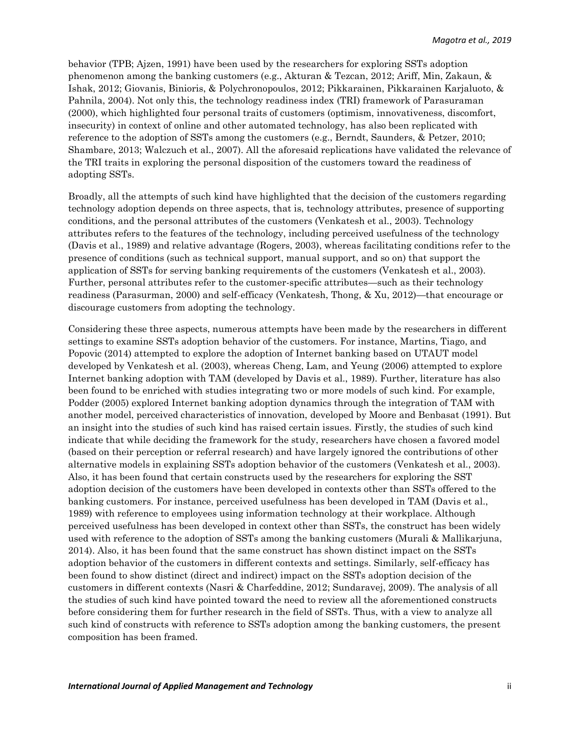behavior (TPB; Ajzen, 1991) have been used by the researchers for exploring SSTs adoption phenomenon among the banking customers (e.g., Akturan & Tezcan, 2012; Ariff, Min, Zakaun, & Ishak, 2012; Giovanis, Binioris, & Polychronopoulos, 2012; Pikkarainen, Pikkarainen Karjaluoto, & Pahnila, 2004). Not only this, the technology readiness index (TRI) framework of Parasuraman (2000), which highlighted four personal traits of customers (optimism, innovativeness, discomfort, insecurity) in context of online and other automated technology, has also been replicated with reference to the adoption of SSTs among the customers (e.g., Berndt, Saunders, & Petzer, 2010; Shambare, 2013; Walczuch et al., 2007). All the aforesaid replications have validated the relevance of the TRI traits in exploring the personal disposition of the customers toward the readiness of adopting SSTs.

Broadly, all the attempts of such kind have highlighted that the decision of the customers regarding technology adoption depends on three aspects, that is, technology attributes, presence of supporting conditions, and the personal attributes of the customers (Venkatesh et al., 2003). Technology attributes refers to the features of the technology, including perceived usefulness of the technology (Davis et al., 1989) and relative advantage (Rogers, 2003), whereas facilitating conditions refer to the presence of conditions (such as technical support, manual support, and so on) that support the application of SSTs for serving banking requirements of the customers (Venkatesh et al., 2003). Further, personal attributes refer to the customer-specific attributes—such as their technology readiness (Parasurman, 2000) and self-efficacy (Venkatesh, Thong, & Xu, 2012)—that encourage or discourage customers from adopting the technology.

Considering these three aspects, numerous attempts have been made by the researchers in different settings to examine SSTs adoption behavior of the customers. For instance, Martins, Tiago, and Popovic (2014) attempted to explore the adoption of Internet banking based on UTAUT model developed by Venkatesh et al. (2003), whereas Cheng, Lam, and Yeung (2006) attempted to explore Internet banking adoption with TAM (developed by Davis et al., 1989). Further, literature has also been found to be enriched with studies integrating two or more models of such kind. For example, Podder (2005) explored Internet banking adoption dynamics through the integration of TAM with another model, perceived characteristics of innovation, developed by Moore and Benbasat (1991). But an insight into the studies of such kind has raised certain issues. Firstly, the studies of such kind indicate that while deciding the framework for the study, researchers have chosen a favored model (based on their perception or referral research) and have largely ignored the contributions of other alternative models in explaining SSTs adoption behavior of the customers (Venkatesh et al., 2003). Also, it has been found that certain constructs used by the researchers for exploring the SST adoption decision of the customers have been developed in contexts other than SSTs offered to the banking customers. For instance, perceived usefulness has been developed in TAM (Davis et al., 1989) with reference to employees using information technology at their workplace. Although perceived usefulness has been developed in context other than SSTs, the construct has been widely used with reference to the adoption of SSTs among the banking customers (Murali & Mallikarjuna, 2014). Also, it has been found that the same construct has shown distinct impact on the SSTs adoption behavior of the customers in different contexts and settings. Similarly, self-efficacy has been found to show distinct (direct and indirect) impact on the SSTs adoption decision of the customers in different contexts (Nasri & Charfeddine, 2012; Sundaravej, 2009). The analysis of all the studies of such kind have pointed toward the need to review all the aforementioned constructs before considering them for further research in the field of SSTs. Thus, with a view to analyze all such kind of constructs with reference to SSTs adoption among the banking customers, the present composition has been framed.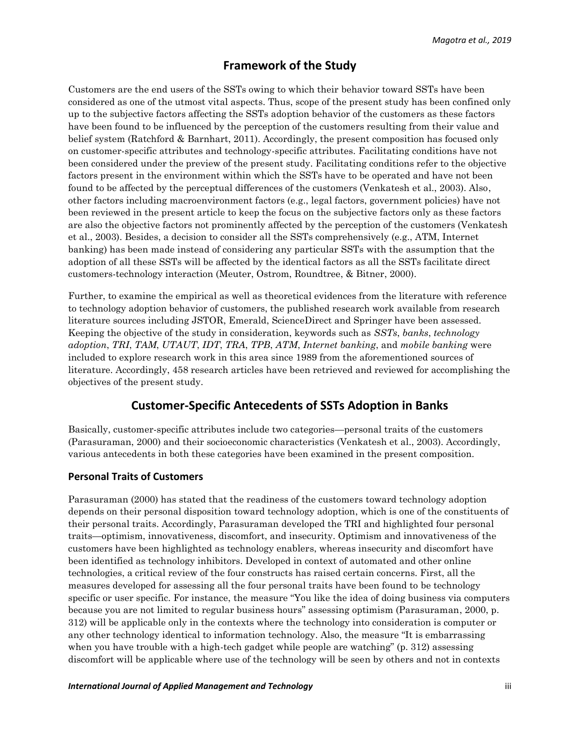## **Framework of the Study**

Customers are the end users of the SSTs owing to which their behavior toward SSTs have been considered as one of the utmost vital aspects. Thus, scope of the present study has been confined only up to the subjective factors affecting the SSTs adoption behavior of the customers as these factors have been found to be influenced by the perception of the customers resulting from their value and belief system (Ratchford & Barnhart, 2011). Accordingly, the present composition has focused only on customer-specific attributes and technology-specific attributes. Facilitating conditions have not been considered under the preview of the present study. Facilitating conditions refer to the objective factors present in the environment within which the SSTs have to be operated and have not been found to be affected by the perceptual differences of the customers (Venkatesh et al., 2003). Also, other factors including macroenvironment factors (e.g., legal factors, government policies) have not been reviewed in the present article to keep the focus on the subjective factors only as these factors are also the objective factors not prominently affected by the perception of the customers (Venkatesh et al., 2003). Besides, a decision to consider all the SSTs comprehensively (e.g., ATM, Internet banking) has been made instead of considering any particular SSTs with the assumption that the adoption of all these SSTs will be affected by the identical factors as all the SSTs facilitate direct customers-technology interaction (Meuter, Ostrom, Roundtree, & Bitner, 2000).

Further, to examine the empirical as well as theoretical evidences from the literature with reference to technology adoption behavior of customers, the published research work available from research literature sources including JSTOR, Emerald, ScienceDirect and Springer have been assessed. Keeping the objective of the study in consideration, keywords such as *SSTs*, *banks*, *technology adoption*, *TRI*, *TAM*, *UTAUT*, *IDT*, *TRA*, *TPB*, *ATM*, *Internet banking*, and *mobile banking* were included to explore research work in this area since 1989 from the aforementioned sources of literature. Accordingly, 458 research articles have been retrieved and reviewed for accomplishing the objectives of the present study.

## **Customer-Specific Antecedents of SSTs Adoption in Banks**

Basically, customer-specific attributes include two categories—personal traits of the customers (Parasuraman, 2000) and their socioeconomic characteristics (Venkatesh et al., 2003). Accordingly, various antecedents in both these categories have been examined in the present composition.

#### **Personal Traits of Customers**

Parasuraman (2000) has stated that the readiness of the customers toward technology adoption depends on their personal disposition toward technology adoption, which is one of the constituents of their personal traits. Accordingly, Parasuraman developed the TRI and highlighted four personal traits—optimism, innovativeness, discomfort, and insecurity. Optimism and innovativeness of the customers have been highlighted as technology enablers, whereas insecurity and discomfort have been identified as technology inhibitors. Developed in context of automated and other online technologies, a critical review of the four constructs has raised certain concerns. First, all the measures developed for assessing all the four personal traits have been found to be technology specific or user specific. For instance, the measure "You like the idea of doing business via computers because you are not limited to regular business hours" assessing optimism (Parasuraman, 2000, p. 312) will be applicable only in the contexts where the technology into consideration is computer or any other technology identical to information technology. Also, the measure "It is embarrassing when you have trouble with a high-tech gadget while people are watching" (p. 312) assessing discomfort will be applicable where use of the technology will be seen by others and not in contexts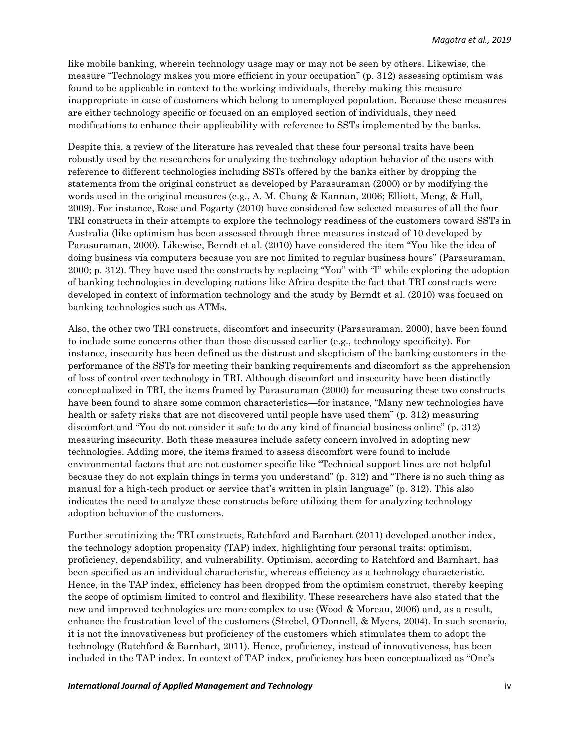like mobile banking, wherein technology usage may or may not be seen by others. Likewise, the measure "Technology makes you more efficient in your occupation" (p. 312) assessing optimism was found to be applicable in context to the working individuals, thereby making this measure inappropriate in case of customers which belong to unemployed population. Because these measures are either technology specific or focused on an employed section of individuals, they need modifications to enhance their applicability with reference to SSTs implemented by the banks.

Despite this, a review of the literature has revealed that these four personal traits have been robustly used by the researchers for analyzing the technology adoption behavior of the users with reference to different technologies including SSTs offered by the banks either by dropping the statements from the original construct as developed by Parasuraman (2000) or by modifying the words used in the original measures (e.g., A. M. Chang & Kannan, 2006; Elliott, Meng, & Hall, 2009). For instance, Rose and Fogarty (2010) have considered few selected measures of all the four TRI constructs in their attempts to explore the technology readiness of the customers toward SSTs in Australia (like optimism has been assessed through three measures instead of 10 developed by Parasuraman, 2000). Likewise, Berndt et al. (2010) have considered the item "You like the idea of doing business via computers because you are not limited to regular business hours" (Parasuraman, 2000; p. 312). They have used the constructs by replacing "You" with "I" while exploring the adoption of banking technologies in developing nations like Africa despite the fact that TRI constructs were developed in context of information technology and the study by Berndt et al. (2010) was focused on banking technologies such as ATMs.

Also, the other two TRI constructs, discomfort and insecurity (Parasuraman, 2000), have been found to include some concerns other than those discussed earlier (e.g., technology specificity). For instance, insecurity has been defined as the distrust and skepticism of the banking customers in the performance of the SSTs for meeting their banking requirements and discomfort as the apprehension of loss of control over technology in TRI. Although discomfort and insecurity have been distinctly conceptualized in TRI, the items framed by Parasuraman (2000) for measuring these two constructs have been found to share some common characteristics—for instance, "Many new technologies have health or safety risks that are not discovered until people have used them" (p. 312) measuring discomfort and "You do not consider it safe to do any kind of financial business online" (p. 312) measuring insecurity. Both these measures include safety concern involved in adopting new technologies. Adding more, the items framed to assess discomfort were found to include environmental factors that are not customer specific like "Technical support lines are not helpful because they do not explain things in terms you understand" (p. 312) and "There is no such thing as manual for a high-tech product or service that's written in plain language" (p. 312). This also indicates the need to analyze these constructs before utilizing them for analyzing technology adoption behavior of the customers.

Further scrutinizing the TRI constructs, Ratchford and Barnhart (2011) developed another index, the technology adoption propensity (TAP) index, highlighting four personal traits: optimism, proficiency, dependability, and vulnerability. Optimism, according to Ratchford and Barnhart, has been specified as an individual characteristic, whereas efficiency as a technology characteristic. Hence, in the TAP index, efficiency has been dropped from the optimism construct, thereby keeping the scope of optimism limited to control and flexibility. These researchers have also stated that the new and improved technologies are more complex to use (Wood & Moreau, 2006) and, as a result, enhance the frustration level of the customers (Strebel, O'Donnell, & Myers, 2004). In such scenario, it is not the innovativeness but proficiency of the customers which stimulates them to adopt the technology (Ratchford & Barnhart, 2011). Hence, proficiency, instead of innovativeness, has been included in the TAP index. In context of TAP index, proficiency has been conceptualized as "One's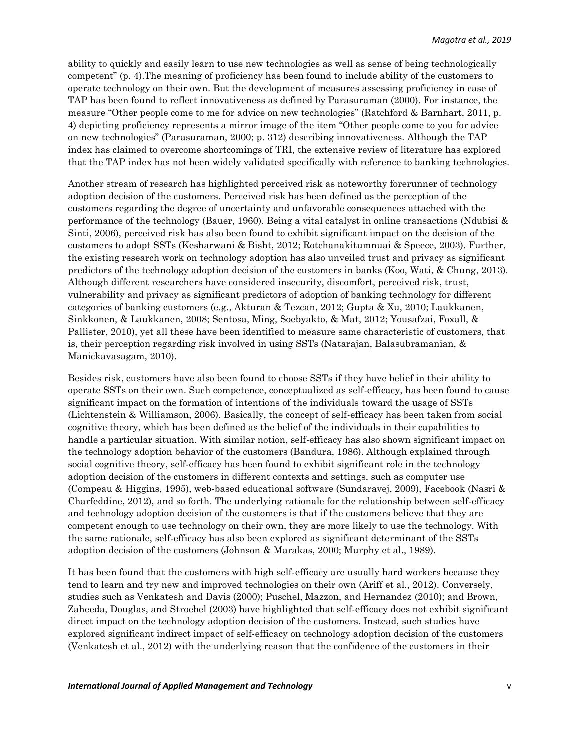ability to quickly and easily learn to use new technologies as well as sense of being technologically competent" (p. 4).The meaning of proficiency has been found to include ability of the customers to operate technology on their own. But the development of measures assessing proficiency in case of TAP has been found to reflect innovativeness as defined by Parasuraman (2000). For instance, the measure "Other people come to me for advice on new technologies" (Ratchford & Barnhart, 2011, p. 4) depicting proficiency represents a mirror image of the item "Other people come to you for advice on new technologies" (Parasuraman, 2000; p. 312) describing innovativeness. Although the TAP index has claimed to overcome shortcomings of TRI, the extensive review of literature has explored that the TAP index has not been widely validated specifically with reference to banking technologies.

Another stream of research has highlighted perceived risk as noteworthy forerunner of technology adoption decision of the customers. Perceived risk has been defined as the perception of the customers regarding the degree of uncertainty and unfavorable consequences attached with the performance of the technology (Bauer, 1960). Being a vital catalyst in online transactions (Ndubisi & Sinti, 2006), perceived risk has also been found to exhibit significant impact on the decision of the customers to adopt SSTs (Kesharwani & Bisht, 2012; Rotchanakitumnuai & Speece, 2003). Further, the existing research work on technology adoption has also unveiled trust and privacy as significant predictors of the technology adoption decision of the customers in banks (Koo, Wati, & Chung, 2013). Although different researchers have considered insecurity, discomfort, perceived risk, trust, vulnerability and privacy as significant predictors of adoption of banking technology for different categories of banking customers (e.g., Akturan & Tezcan, 2012; Gupta & Xu, 2010; Laukkanen, Sinkkonen, & Laukkanen, 2008; Sentosa, Ming, Soebyakto, & Mat, 2012; Yousafzai, Foxall, & Pallister, 2010), yet all these have been identified to measure same characteristic of customers, that is, their perception regarding risk involved in using SSTs (Natarajan, Balasubramanian, & Manickavasagam, 2010).

Besides risk, customers have also been found to choose SSTs if they have belief in their ability to operate SSTs on their own. Such competence, conceptualized as self-efficacy, has been found to cause significant impact on the formation of intentions of the individuals toward the usage of SSTs (Lichtenstein & Williamson, 2006). Basically, the concept of self-efficacy has been taken from social cognitive theory, which has been defined as the belief of the individuals in their capabilities to handle a particular situation. With similar notion, self-efficacy has also shown significant impact on the technology adoption behavior of the customers (Bandura, 1986). Although explained through social cognitive theory, self-efficacy has been found to exhibit significant role in the technology adoption decision of the customers in different contexts and settings, such as computer use (Compeau & Higgins, 1995), web-based educational software (Sundaravej, 2009), Facebook (Nasri & Charfeddine, 2012), and so forth. The underlying rationale for the relationship between self-efficacy and technology adoption decision of the customers is that if the customers believe that they are competent enough to use technology on their own, they are more likely to use the technology. With the same rationale, self-efficacy has also been explored as significant determinant of the SSTs adoption decision of the customers (Johnson & Marakas, 2000; Murphy et al., 1989).

It has been found that the customers with high self-efficacy are usually hard workers because they tend to learn and try new and improved technologies on their own (Ariff et al., 2012). Conversely, studies such as Venkatesh and Davis (2000); Puschel, Mazzon, and Hernandez (2010); and Brown, Zaheeda, Douglas, and Stroebel (2003) have highlighted that self-efficacy does not exhibit significant direct impact on the technology adoption decision of the customers. Instead, such studies have explored significant indirect impact of self-efficacy on technology adoption decision of the customers (Venkatesh et al., 2012) with the underlying reason that the confidence of the customers in their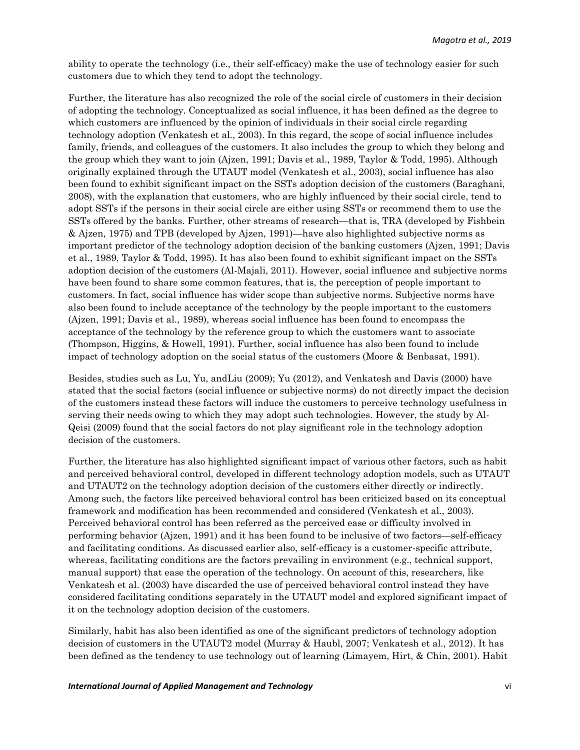ability to operate the technology (i.e., their self-efficacy) make the use of technology easier for such customers due to which they tend to adopt the technology.

Further, the literature has also recognized the role of the social circle of customers in their decision of adopting the technology. Conceptualized as social influence, it has been defined as the degree to which customers are influenced by the opinion of individuals in their social circle regarding technology adoption (Venkatesh et al., 2003). In this regard, the scope of social influence includes family, friends, and colleagues of the customers. It also includes the group to which they belong and the group which they want to join (Ajzen, 1991; Davis et al., 1989, Taylor & Todd, 1995). Although originally explained through the UTAUT model (Venkatesh et al., 2003), social influence has also been found to exhibit significant impact on the SSTs adoption decision of the customers (Baraghani, 2008), with the explanation that customers, who are highly influenced by their social circle, tend to adopt SSTs if the persons in their social circle are either using SSTs or recommend them to use the SSTs offered by the banks. Further, other streams of research—that is, TRA (developed by Fishbein & Ajzen, 1975) and TPB (developed by Ajzen, 1991)—have also highlighted subjective norms as important predictor of the technology adoption decision of the banking customers (Ajzen, 1991; Davis et al., 1989, Taylor & Todd, 1995). It has also been found to exhibit significant impact on the SSTs adoption decision of the customers (Al-Majali, 2011). However, social influence and subjective norms have been found to share some common features, that is, the perception of people important to customers. In fact, social influence has wider scope than subjective norms. Subjective norms have also been found to include acceptance of the technology by the people important to the customers (Ajzen, 1991; Davis et al., 1989), whereas social influence has been found to encompass the acceptance of the technology by the reference group to which the customers want to associate (Thompson, Higgins, & Howell, 1991). Further, social influence has also been found to include impact of technology adoption on the social status of the customers (Moore & Benbasat, 1991).

Besides, studies such as Lu, Yu, andLiu (2009); Yu (2012), and Venkatesh and Davis (2000) have stated that the social factors (social influence or subjective norms) do not directly impact the decision of the customers instead these factors will induce the customers to perceive technology usefulness in serving their needs owing to which they may adopt such technologies. However, the study by Al-Qeisi (2009) found that the social factors do not play significant role in the technology adoption decision of the customers.

Further, the literature has also highlighted significant impact of various other factors, such as habit and perceived behavioral control, developed in different technology adoption models, such as UTAUT and UTAUT2 on the technology adoption decision of the customers either directly or indirectly. Among such, the factors like perceived behavioral control has been criticized based on its conceptual framework and modification has been recommended and considered (Venkatesh et al., 2003). Perceived behavioral control has been referred as the perceived ease or difficulty involved in performing behavior (Ajzen, 1991) and it has been found to be inclusive of two factors—self-efficacy and facilitating conditions. As discussed earlier also, self-efficacy is a customer-specific attribute, whereas, facilitating conditions are the factors prevailing in environment (e.g., technical support, manual support) that ease the operation of the technology. On account of this, researchers, like Venkatesh et al. (2003) have discarded the use of perceived behavioral control instead they have considered facilitating conditions separately in the UTAUT model and explored significant impact of it on the technology adoption decision of the customers.

Similarly, habit has also been identified as one of the significant predictors of technology adoption decision of customers in the UTAUT2 model (Murray & Haubl, 2007; Venkatesh et al., 2012). It has been defined as the tendency to use technology out of learning (Limayem, Hirt, & Chin, 2001). Habit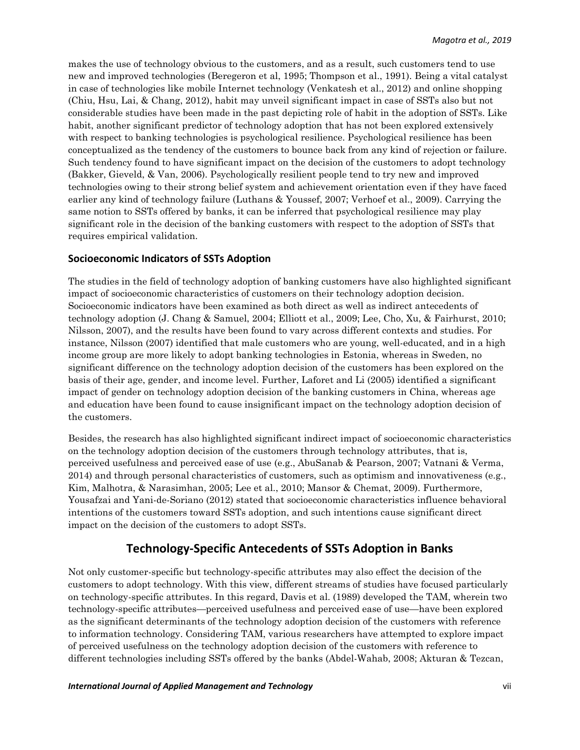makes the use of technology obvious to the customers, and as a result, such customers tend to use new and improved technologies (Beregeron et al, 1995; Thompson et al., 1991). Being a vital catalyst in case of technologies like mobile Internet technology (Venkatesh et al., 2012) and online shopping (Chiu, Hsu, Lai, & Chang, 2012), habit may unveil significant impact in case of SSTs also but not considerable studies have been made in the past depicting role of habit in the adoption of SSTs. Like habit, another significant predictor of technology adoption that has not been explored extensively with respect to banking technologies is psychological resilience. Psychological resilience has been conceptualized as the tendency of the customers to bounce back from any kind of rejection or failure. Such tendency found to have significant impact on the decision of the customers to adopt technology (Bakker, Gieveld, & Van, 2006). Psychologically resilient people tend to try new and improved technologies owing to their strong belief system and achievement orientation even if they have faced earlier any kind of technology failure (Luthans & Youssef, 2007; Verhoef et al., 2009). Carrying the same notion to SSTs offered by banks, it can be inferred that psychological resilience may play significant role in the decision of the banking customers with respect to the adoption of SSTs that requires empirical validation.

#### **Socioeconomic Indicators of SSTs Adoption**

The studies in the field of technology adoption of banking customers have also highlighted significant impact of socioeconomic characteristics of customers on their technology adoption decision. Socioeconomic indicators have been examined as both direct as well as indirect antecedents of technology adoption (J. Chang & Samuel, 2004; Elliott et al., 2009; Lee, Cho, Xu, & Fairhurst, 2010; Nilsson, 2007), and the results have been found to vary across different contexts and studies. For instance, Nilsson (2007) identified that male customers who are young, well-educated, and in a high income group are more likely to adopt banking technologies in Estonia, whereas in Sweden, no significant difference on the technology adoption decision of the customers has been explored on the basis of their age, gender, and income level. Further, Laforet and Li (2005) identified a significant impact of gender on technology adoption decision of the banking customers in China, whereas age and education have been found to cause insignificant impact on the technology adoption decision of the customers.

Besides, the research has also highlighted significant indirect impact of socioeconomic characteristics on the technology adoption decision of the customers through technology attributes, that is, perceived usefulness and perceived ease of use (e.g., AbuSanab & Pearson, 2007; Vatnani & Verma, 2014) and through personal characteristics of customers, such as optimism and innovativeness (e.g., Kim, Malhotra, & Narasimhan, 2005; Lee et al., 2010; Mansor & Chemat, 2009). Furthermore, Yousafzai and Yani-de-Soriano (2012) stated that socioeconomic characteristics influence behavioral intentions of the customers toward SSTs adoption, and such intentions cause significant direct impact on the decision of the customers to adopt SSTs.

## **Technology-Specific Antecedents of SSTs Adoption in Banks**

Not only customer-specific but technology-specific attributes may also effect the decision of the customers to adopt technology. With this view, different streams of studies have focused particularly on technology-specific attributes. In this regard, Davis et al. (1989) developed the TAM, wherein two technology-specific attributes—perceived usefulness and perceived ease of use—have been explored as the significant determinants of the technology adoption decision of the customers with reference to information technology. Considering TAM, various researchers have attempted to explore impact of perceived usefulness on the technology adoption decision of the customers with reference to different technologies including SSTs offered by the banks (Abdel-Wahab, 2008; Akturan & Tezcan,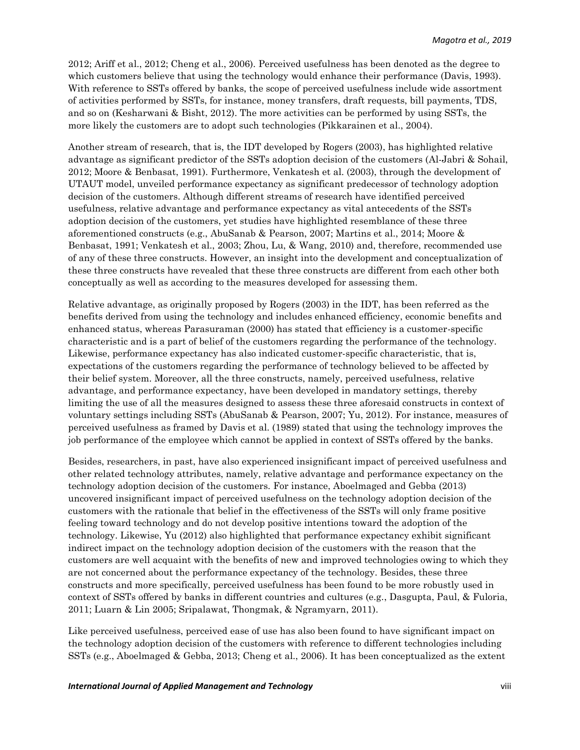2012; Ariff et al., 2012; Cheng et al., 2006). Perceived usefulness has been denoted as the degree to which customers believe that using the technology would enhance their performance (Davis, 1993). With reference to SSTs offered by banks, the scope of perceived usefulness include wide assortment of activities performed by SSTs, for instance, money transfers, draft requests, bill payments, TDS, and so on (Kesharwani & Bisht, 2012). The more activities can be performed by using SSTs, the more likely the customers are to adopt such technologies (Pikkarainen et al., 2004).

Another stream of research, that is, the IDT developed by Rogers (2003), has highlighted relative advantage as significant predictor of the SSTs adoption decision of the customers (Al-Jabri & Sohail, 2012; Moore & Benbasat, 1991). Furthermore, Venkatesh et al. (2003), through the development of UTAUT model, unveiled performance expectancy as significant predecessor of technology adoption decision of the customers. Although different streams of research have identified perceived usefulness, relative advantage and performance expectancy as vital antecedents of the SSTs adoption decision of the customers, yet studies have highlighted resemblance of these three aforementioned constructs (e.g., AbuSanab & Pearson, 2007; Martins et al., 2014; Moore & Benbasat, 1991; Venkatesh et al., 2003; Zhou, Lu, & Wang, 2010) and, therefore, recommended use of any of these three constructs. However, an insight into the development and conceptualization of these three constructs have revealed that these three constructs are different from each other both conceptually as well as according to the measures developed for assessing them.

Relative advantage, as originally proposed by Rogers (2003) in the IDT, has been referred as the benefits derived from using the technology and includes enhanced efficiency, economic benefits and enhanced status, whereas Parasuraman (2000) has stated that efficiency is a customer-specific characteristic and is a part of belief of the customers regarding the performance of the technology. Likewise, performance expectancy has also indicated customer-specific characteristic, that is, expectations of the customers regarding the performance of technology believed to be affected by their belief system. Moreover, all the three constructs, namely, perceived usefulness, relative advantage, and performance expectancy, have been developed in mandatory settings, thereby limiting the use of all the measures designed to assess these three aforesaid constructs in context of voluntary settings including SSTs (AbuSanab & Pearson, 2007; Yu, 2012). For instance, measures of perceived usefulness as framed by Davis et al. (1989) stated that using the technology improves the job performance of the employee which cannot be applied in context of SSTs offered by the banks.

Besides, researchers, in past, have also experienced insignificant impact of perceived usefulness and other related technology attributes, namely, relative advantage and performance expectancy on the technology adoption decision of the customers. For instance, Aboelmaged and Gebba (2013) uncovered insignificant impact of perceived usefulness on the technology adoption decision of the customers with the rationale that belief in the effectiveness of the SSTs will only frame positive feeling toward technology and do not develop positive intentions toward the adoption of the technology. Likewise, Yu (2012) also highlighted that performance expectancy exhibit significant indirect impact on the technology adoption decision of the customers with the reason that the customers are well acquaint with the benefits of new and improved technologies owing to which they are not concerned about the performance expectancy of the technology. Besides, these three constructs and more specifically, perceived usefulness has been found to be more robustly used in context of SSTs offered by banks in different countries and cultures (e.g., Dasgupta, Paul, & Fuloria, 2011; Luarn & Lin 2005; Sripalawat, Thongmak, & Ngramyarn, 2011).

Like perceived usefulness, perceived ease of use has also been found to have significant impact on the technology adoption decision of the customers with reference to different technologies including SSTs (e.g., Aboelmaged & Gebba, 2013; Cheng et al., 2006). It has been conceptualized as the extent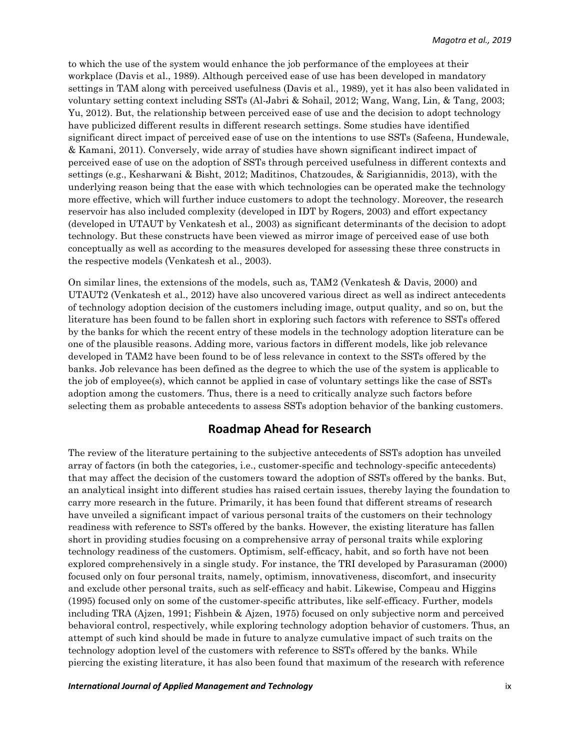to which the use of the system would enhance the job performance of the employees at their workplace (Davis et al., 1989). Although perceived ease of use has been developed in mandatory settings in TAM along with perceived usefulness (Davis et al., 1989), yet it has also been validated in voluntary setting context including SSTs (Al-Jabri & Sohail, 2012; Wang, Wang, Lin, & Tang, 2003; Yu, 2012). But, the relationship between perceived ease of use and the decision to adopt technology have publicized different results in different research settings. Some studies have identified significant direct impact of perceived ease of use on the intentions to use SSTs (Safeena, Hundewale, & Kamani, 2011). Conversely, wide array of studies have shown significant indirect impact of perceived ease of use on the adoption of SSTs through perceived usefulness in different contexts and settings (e.g., Kesharwani & Bisht, 2012; Maditinos, Chatzoudes, & Sarigiannidis, 2013), with the underlying reason being that the ease with which technologies can be operated make the technology more effective, which will further induce customers to adopt the technology. Moreover, the research reservoir has also included complexity (developed in IDT by Rogers, 2003) and effort expectancy (developed in UTAUT by Venkatesh et al., 2003) as significant determinants of the decision to adopt technology. But these constructs have been viewed as mirror image of perceived ease of use both conceptually as well as according to the measures developed for assessing these three constructs in the respective models (Venkatesh et al., 2003).

On similar lines, the extensions of the models, such as, TAM2 (Venkatesh & Davis, 2000) and UTAUT2 (Venkatesh et al., 2012) have also uncovered various direct as well as indirect antecedents of technology adoption decision of the customers including image, output quality, and so on, but the literature has been found to be fallen short in exploring such factors with reference to SSTs offered by the banks for which the recent entry of these models in the technology adoption literature can be one of the plausible reasons. Adding more, various factors in different models, like job relevance developed in TAM2 have been found to be of less relevance in context to the SSTs offered by the banks. Job relevance has been defined as the degree to which the use of the system is applicable to the job of employee(s), which cannot be applied in case of voluntary settings like the case of SSTs adoption among the customers. Thus, there is a need to critically analyze such factors before selecting them as probable antecedents to assess SSTs adoption behavior of the banking customers.

### **Roadmap Ahead for Research**

The review of the literature pertaining to the subjective antecedents of SSTs adoption has unveiled array of factors (in both the categories, i.e., customer-specific and technology-specific antecedents) that may affect the decision of the customers toward the adoption of SSTs offered by the banks. But, an analytical insight into different studies has raised certain issues, thereby laying the foundation to carry more research in the future. Primarily, it has been found that different streams of research have unveiled a significant impact of various personal traits of the customers on their technology readiness with reference to SSTs offered by the banks. However, the existing literature has fallen short in providing studies focusing on a comprehensive array of personal traits while exploring technology readiness of the customers. Optimism, self-efficacy, habit, and so forth have not been explored comprehensively in a single study. For instance, the TRI developed by Parasuraman (2000) focused only on four personal traits, namely, optimism, innovativeness, discomfort, and insecurity and exclude other personal traits, such as self-efficacy and habit. Likewise, Compeau and Higgins (1995) focused only on some of the customer-specific attributes, like self-efficacy. Further, models including TRA (Ajzen, 1991; Fishbein & Ajzen, 1975) focused on only subjective norm and perceived behavioral control, respectively, while exploring technology adoption behavior of customers. Thus, an attempt of such kind should be made in future to analyze cumulative impact of such traits on the technology adoption level of the customers with reference to SSTs offered by the banks. While piercing the existing literature, it has also been found that maximum of the research with reference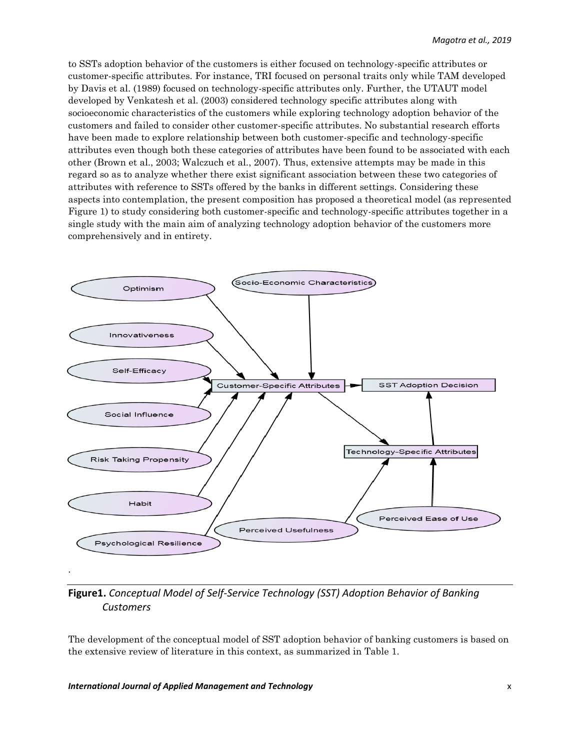to SSTs adoption behavior of the customers is either focused on technology-specific attributes or customer-specific attributes. For instance, TRI focused on personal traits only while TAM developed by Davis et al. (1989) focused on technology-specific attributes only. Further, the UTAUT model developed by Venkatesh et al. (2003) considered technology specific attributes along with socioeconomic characteristics of the customers while exploring technology adoption behavior of the customers and failed to consider other customer-specific attributes. No substantial research efforts have been made to explore relationship between both customer-specific and technology-specific attributes even though both these categories of attributes have been found to be associated with each other (Brown et al., 2003; Walczuch et al., 2007). Thus, extensive attempts may be made in this regard so as to analyze whether there exist significant association between these two categories of attributes with reference to SSTs offered by the banks in different settings. Considering these aspects into contemplation, the present composition has proposed a theoretical model (as represented Figure 1) to study considering both customer-specific and technology-specific attributes together in a single study with the main aim of analyzing technology adoption behavior of the customers more comprehensively and in entirety.



**Figure1.** *Conceptual Model of Self-Service Technology (SST) Adoption Behavior of Banking Customers*

The development of the conceptual model of SST adoption behavior of banking customers is based on the extensive review of literature in this context, as summarized in Table 1.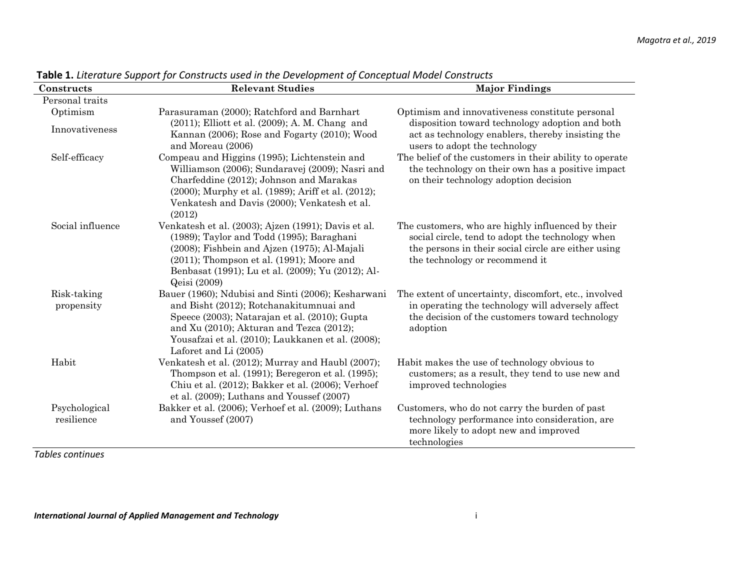| Constructs                  | <b>Relevant Studies</b>                                                                                                                                                                                                                                                  | <b>Major Findings</b>                                                                                                                                                                          |
|-----------------------------|--------------------------------------------------------------------------------------------------------------------------------------------------------------------------------------------------------------------------------------------------------------------------|------------------------------------------------------------------------------------------------------------------------------------------------------------------------------------------------|
| Personal traits             |                                                                                                                                                                                                                                                                          |                                                                                                                                                                                                |
| Optimism<br>Innovativeness  | Parasuraman (2000); Ratchford and Barnhart<br>$(2011)$ ; Elliott et al. $(2009)$ ; A. M. Chang and<br>Kannan (2006); Rose and Fogarty (2010); Wood<br>and Moreau (2006)                                                                                                  | Optimism and innovativeness constitute personal<br>disposition toward technology adoption and both<br>act as technology enablers, thereby insisting the<br>users to adopt the technology       |
| Self-efficacy               | Compeau and Higgins (1995); Lichtenstein and<br>Williamson (2006); Sundaravej (2009); Nasri and<br>Charfeddine (2012); Johnson and Marakas<br>(2000); Murphy et al. (1989); Ariff et al. (2012);<br>Venkatesh and Davis (2000); Venkatesh et al.<br>(2012)               | The belief of the customers in their ability to operate<br>the technology on their own has a positive impact<br>on their technology adoption decision                                          |
| Social influence            | Venkatesh et al. (2003); Ajzen (1991); Davis et al.<br>(1989); Taylor and Todd (1995); Baraghani<br>(2008); Fishbein and Ajzen (1975); Al-Majali<br>$(2011)$ ; Thompson et al. $(1991)$ ; Moore and<br>Benbasat (1991); Lu et al. (2009); Yu (2012); Al-<br>Qeisi (2009) | The customers, who are highly influenced by their<br>social circle, tend to adopt the technology when<br>the persons in their social circle are either using<br>the technology or recommend it |
| Risk-taking<br>propensity   | Bauer (1960); Ndubisi and Sinti (2006); Kesharwani<br>and Bisht (2012); Rotchanakitumnuai and<br>Speece (2003); Natarajan et al. (2010); Gupta<br>and Xu (2010); Akturan and Tezca (2012);<br>Yousafzai et al. (2010); Laukkanen et al. (2008);<br>Laforet and Li (2005) | The extent of uncertainty, discomfort, etc., involved<br>in operating the technology will adversely affect<br>the decision of the customers toward technology<br>adoption                      |
| Habit                       | Venkatesh et al. (2012); Murray and Haubl (2007);<br>Thompson et al. (1991); Beregeron et al. (1995);<br>Chiu et al. (2012); Bakker et al. (2006); Verhoef<br>et al. $(2009)$ ; Luthans and Youssef $(2007)$                                                             | Habit makes the use of technology obvious to<br>customers; as a result, they tend to use new and<br>improved technologies                                                                      |
| Psychological<br>resilience | Bakker et al. (2006); Verhoef et al. (2009); Luthans<br>and Youssef (2007)                                                                                                                                                                                               | Customers, who do not carry the burden of past<br>technology performance into consideration, are<br>more likely to adopt new and improved<br>technologies                                      |

**Table 1.** *Literature Support for Constructs used in the Development of Conceptual Model Constructs*

*Tables continues*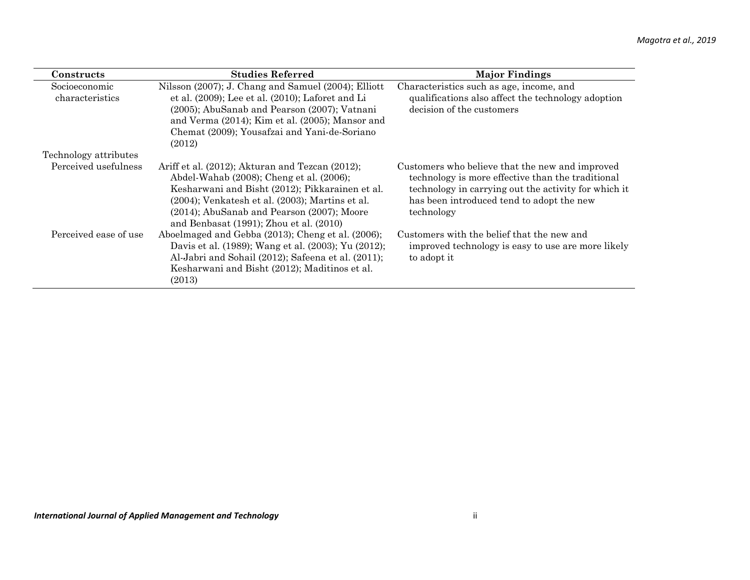| Constructs                       | <b>Studies Referred</b>                                                                                                                                                                                                                                                                               | <b>Major Findings</b>                                                                                                                                                                                                   |
|----------------------------------|-------------------------------------------------------------------------------------------------------------------------------------------------------------------------------------------------------------------------------------------------------------------------------------------------------|-------------------------------------------------------------------------------------------------------------------------------------------------------------------------------------------------------------------------|
| Socioeconomic<br>characteristics | Nilsson (2007); J. Chang and Samuel (2004); Elliott<br>et al. $(2009)$ ; Lee et al. $(2010)$ ; Laforet and Li<br>(2005); AbuSanab and Pearson (2007); Vatnani<br>and Verma (2014); Kim et al. (2005); Mansor and<br>Chemat (2009); Yousafzai and Yani-de-Soriano<br>(2012)                            | Characteristics such as age, income, and<br>qualifications also affect the technology adoption<br>decision of the customers                                                                                             |
| Technology attributes            |                                                                                                                                                                                                                                                                                                       |                                                                                                                                                                                                                         |
| Perceived usefulness             | Ariff et al. (2012); Akturan and Tezcan (2012);<br>Abdel-Wahab (2008); Cheng et al. (2006);<br>Kesharwani and Bisht (2012); Pikkarainen et al.<br>$(2004)$ ; Venkatesh et al. $(2003)$ ; Martins et al.<br>(2014); AbuSanab and Pearson (2007); Moore<br>and Benbasat $(1991)$ ; Zhou et al. $(2010)$ | Customers who believe that the new and improved<br>technology is more effective than the traditional<br>technology in carrying out the activity for which it<br>has been introduced tend to adopt the new<br>technology |
| Perceived ease of use            | Aboelmaged and Gebba (2013); Cheng et al. (2006);<br>Davis et al. (1989); Wang et al. (2003); Yu (2012);<br>Al-Jabri and Sohail (2012); Safeena et al. (2011);<br>Kesharwani and Bisht (2012); Maditinos et al.<br>(2013)                                                                             | Customers with the belief that the new and<br>improved technology is easy to use are more likely<br>to adopt it                                                                                                         |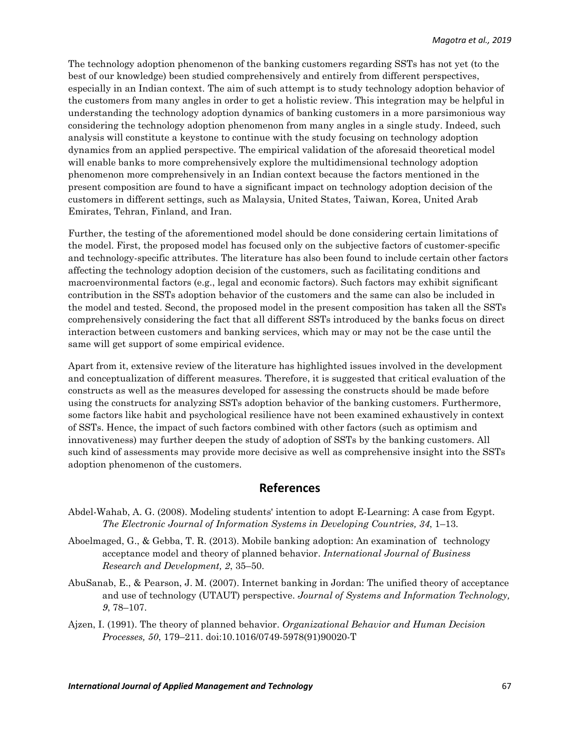The technology adoption phenomenon of the banking customers regarding SSTs has not yet (to the best of our knowledge) been studied comprehensively and entirely from different perspectives, especially in an Indian context. The aim of such attempt is to study technology adoption behavior of the customers from many angles in order to get a holistic review. This integration may be helpful in understanding the technology adoption dynamics of banking customers in a more parsimonious way considering the technology adoption phenomenon from many angles in a single study. Indeed, such analysis will constitute a keystone to continue with the study focusing on technology adoption dynamics from an applied perspective. The empirical validation of the aforesaid theoretical model will enable banks to more comprehensively explore the multidimensional technology adoption phenomenon more comprehensively in an Indian context because the factors mentioned in the present composition are found to have a significant impact on technology adoption decision of the customers in different settings, such as Malaysia, United States, Taiwan, Korea, United Arab Emirates, Tehran, Finland, and Iran.

Further, the testing of the aforementioned model should be done considering certain limitations of the model. First, the proposed model has focused only on the subjective factors of customer-specific and technology-specific attributes. The literature has also been found to include certain other factors affecting the technology adoption decision of the customers, such as facilitating conditions and macroenvironmental factors (e.g., legal and economic factors). Such factors may exhibit significant contribution in the SSTs adoption behavior of the customers and the same can also be included in the model and tested. Second, the proposed model in the present composition has taken all the SSTs comprehensively considering the fact that all different SSTs introduced by the banks focus on direct interaction between customers and banking services, which may or may not be the case until the same will get support of some empirical evidence.

Apart from it, extensive review of the literature has highlighted issues involved in the development and conceptualization of different measures. Therefore, it is suggested that critical evaluation of the constructs as well as the measures developed for assessing the constructs should be made before using the constructs for analyzing SSTs adoption behavior of the banking customers. Furthermore, some factors like habit and psychological resilience have not been examined exhaustively in context of SSTs. Hence, the impact of such factors combined with other factors (such as optimism and innovativeness) may further deepen the study of adoption of SSTs by the banking customers. All such kind of assessments may provide more decisive as well as comprehensive insight into the SSTs adoption phenomenon of the customers.

## **References**

- Abdel-Wahab, A. G. (2008). Modeling students' intention to adopt E-Learning: A case from Egypt. *The Electronic Journal of Information Systems in Developing Countries, 34*, 1–13.
- Aboelmaged, G., & Gebba, T. R. (2013). Mobile banking adoption: An examination of technology acceptance model and theory of planned behavior. *International Journal of Business Research and Development, 2*, 35–50.
- AbuSanab, E., & Pearson, J. M. (2007). Internet banking in Jordan: The unified theory of acceptance and use of technology (UTAUT) perspective. *Journal of Systems and Information Technology, 9*, 78–107.
- Ajzen, I. (1991). The theory of planned behavior. *Organizational Behavior and Human Decision Processes, 50*, 179–211. doi:10.1016/0749-5978(91)90020-T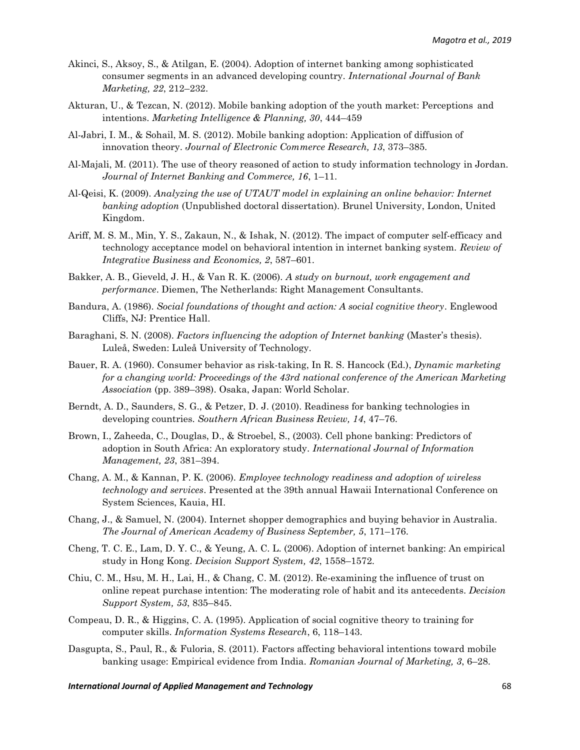- Akinci, S., Aksoy, S., & Atilgan, E. (2004). Adoption of internet banking among sophisticated consumer segments in an advanced developing country. *International Journal of Bank Marketing, 22*, 212–232.
- Akturan, U., & Tezcan, N. (2012). Mobile banking adoption of the youth market: Perceptions and intentions. *Marketing Intelligence & Planning, 30*, 444–459
- Al-Jabri, I. M., & Sohail, M. S. (2012). Mobile banking adoption: Application of diffusion of innovation theory. *Journal of Electronic Commerce Research, 13*, 373–385.
- Al-Majali, M. (2011). The use of theory reasoned of action to study information technology in Jordan. *Journal of Internet Banking and Commerce, 16*, 1–11.
- Al-Qeisi, K. (2009). *Analyzing the use of UTAUT model in explaining an online behavior: Internet banking adoption* (Unpublished doctoral dissertation). Brunel University, London, United Kingdom.
- Ariff, M. S. M., Min, Y. S., Zakaun, N., & Ishak, N. (2012). The impact of computer self-efficacy and technology acceptance model on behavioral intention in internet banking system. *Review of Integrative Business and Economics, 2*, 587–601.
- Bakker, A. B., Gieveld, J. H., & Van R. K. (2006). *A study on burnout, work engagement and performance*. Diemen, The Netherlands: Right Management Consultants.
- Bandura, A. (1986). *Social foundations of thought and action: A social cognitive theory*. Englewood Cliffs, NJ: Prentice Hall.
- Baraghani, S. N. (2008). *Factors influencing the adoption of Internet banking* (Master's thesis). Luleå, Sweden: Luleå University of Technology.
- Bauer, R. A. (1960). Consumer behavior as risk-taking, In R. S. Hancock (Ed.), *Dynamic marketing for a changing world: Proceedings of the 43rd national conference of the American Marketing Association* (pp. 389–398). Osaka, Japan: World Scholar.
- Berndt, A. D., Saunders, S. G., & Petzer, D. J. (2010). Readiness for banking technologies in developing countries. *Southern African Business Review, 14*, 47–76.
- Brown, I., Zaheeda, C., Douglas, D., & Stroebel, S., (2003). Cell phone banking: Predictors of adoption in South Africa: An exploratory study. *International Journal of Information Management, 23*, 381–394.
- Chang, A. M., & Kannan, P. K. (2006). *Employee technology readiness and adoption of wireless technology and services*. Presented at the 39th annual Hawaii International Conference on System Sciences, Kauia, HI.
- Chang, J., & Samuel, N. (2004). Internet shopper demographics and buying behavior in Australia. *The Journal of American Academy of Business September, 5*, 171–176.
- Cheng, T. C. E., Lam, D. Y. C., & Yeung, A. C. L. (2006). Adoption of internet banking: An empirical study in Hong Kong. *Decision Support System, 42*, 1558–1572.
- Chiu, C. M., Hsu, M. H., Lai, H., & Chang, C. M. (2012). Re-examining the influence of trust on online repeat purchase intention: The moderating role of habit and its antecedents. *Decision Support System, 53*, 835–845.
- Compeau, D. R., & Higgins, C. A. (1995). Application of social cognitive theory to training for computer skills. *Information Systems Research*, 6, 118–143.
- Dasgupta, S., Paul, R., & Fuloria, S. (2011). Factors affecting behavioral intentions toward mobile banking usage: Empirical evidence from India. *Romanian Journal of Marketing, 3*, 6–28.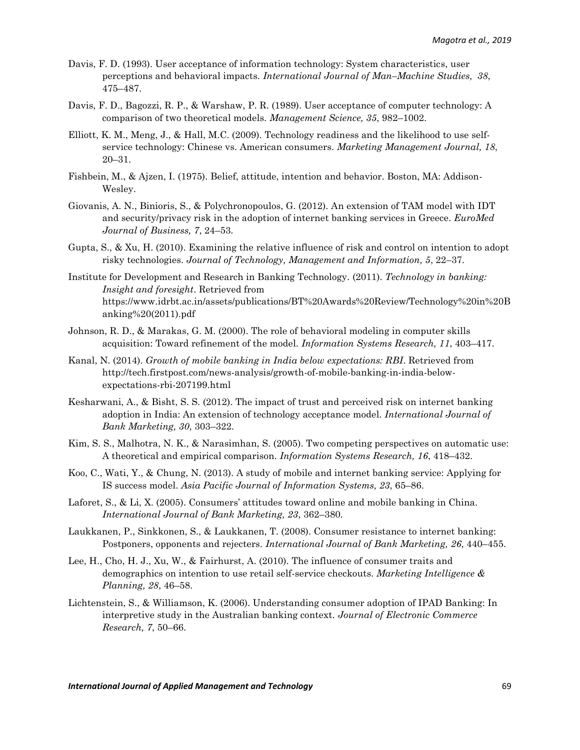- Davis, F. D. (1993). User acceptance of information technology: System characteristics, user perceptions and behavioral impacts. *International Journal of Man–Machine Studies, 38*, 475–487.
- Davis, F. D., Bagozzi, R. P., & Warshaw, P. R. (1989). User acceptance of computer technology: A comparison of two theoretical models. *Management Science, 35*, 982–1002.
- Elliott, K. M., Meng, J., & Hall, M.C. (2009). Technology readiness and the likelihood to use selfservice technology: Chinese vs. American consumers. *Marketing Management Journal, 18*, 20–31.
- Fishbein, M., & Ajzen, I. (1975). Belief, attitude, intention and behavior. Boston, MA: Addison-Wesley.
- Giovanis, A. N., Binioris, S., & Polychronopoulos, G. (2012). An extension of TAM model with IDT and security/privacy risk in the adoption of internet banking services in Greece. *EuroMed Journal of Business, 7*, 24–53.
- Gupta, S., & Xu, H. (2010). Examining the relative influence of risk and control on intention to adopt risky technologies. *Journal of Technology, Management and Information, 5*, 22–37.
- Institute for Development and Research in Banking Technology. (2011). *Technology in banking: Insight and foresight*. Retrieved from [https://www.idrbt.ac.in/assets/publications/BT%20Awards%20Review/Technology%20in%20B](https://www.idrbt.ac.in/assets/publications/BT%20Awards%20Review/Technology%20in%20Banking%20(2011).pdf) [anking%20\(2011\).pdf](https://www.idrbt.ac.in/assets/publications/BT%20Awards%20Review/Technology%20in%20Banking%20(2011).pdf)
- Johnson, R. D., & Marakas, G. M. (2000). The role of behavioral modeling in computer skills acquisition: Toward refinement of the model. *Information Systems Research, 11*, 403–417.
- Kanal, N. (2014). *Growth of mobile banking in India below expectations: RBI*. Retrieved from http://tech.firstpost.com/news-analysis/growth-of-mobile-banking-in-india-belowexpectations-rbi-207199.html
- Kesharwani, A., & Bisht, S. S. (2012). The impact of trust and perceived risk on internet banking adoption in India: An extension of technology acceptance model. *International Journal of Bank Marketing, 30*, 303–322.
- Kim, S. S., Malhotra, N. K., & Narasimhan, S. (2005). Two competing perspectives on automatic use: A theoretical and empirical comparison. *Information Systems Research, 16*, 418–432.
- Koo, C., Wati, Y., & Chung, N. (2013). A study of mobile and internet banking service: Applying for IS success model. *Asia Pacific Journal of Information Systems, 23*, 65–86.
- Laforet, S., & Li, X. (2005). Consumers' attitudes toward online and mobile banking in China. *International Journal of Bank Marketing, 23*, 362–380.
- Laukkanen, P., Sinkkonen, S., & Laukkanen, T. (2008). Consumer resistance to internet banking: Postponers, opponents and rejecters. *International Journal of Bank Marketing, 26*, 440–455.
- Lee, H., Cho, H. J., Xu, W., & Fairhurst, A. (2010). The influence of consumer traits and demographics on intention to use retail self-service checkouts. *Marketing Intelligence & Planning, 28*, 46–58.
- Lichtenstein, S., & Williamson, K. (2006). Understanding consumer adoption of IPAD Banking: In interpretive study in the Australian banking context. *Journal of Electronic Commerce Research, 7*, 50–66.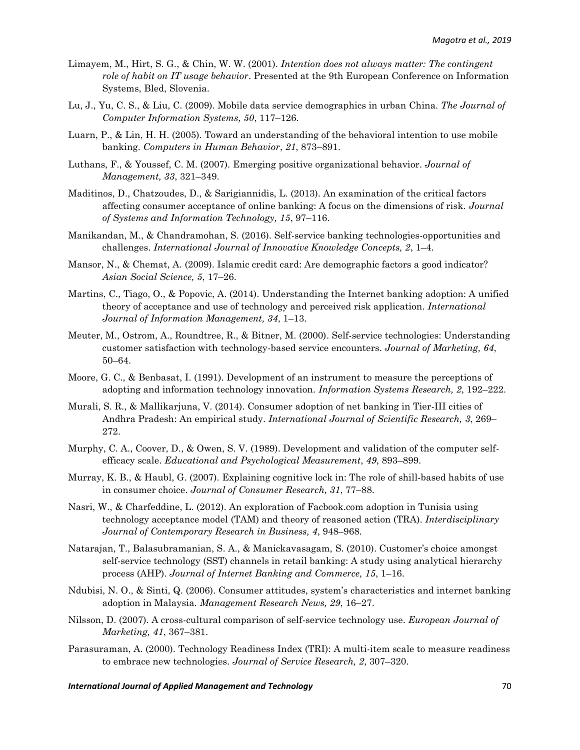- Limayem, M., Hirt, S. G., & Chin, W. W. (2001). *Intention does not always matter: The contingent role of habit on IT usage behavior*. Presented at the 9th European Conference on Information Systems, Bled, Slovenia.
- Lu, J., Yu, C. S., & Liu, C. (2009). Mobile data service demographics in urban China. *The Journal of Computer Information Systems, 50*, 117–126.
- Luarn, P., & Lin, H. H. (2005). Toward an understanding of the behavioral intention to use mobile banking. *Computers in Human Behavior*, *21*, 873–891.
- Luthans, F., & Youssef, C. M. (2007). Emerging positive organizational behavior. *Journal of Management, 33*, 321–349.
- Maditinos, D., Chatzoudes, D., & Sarigiannidis, L. (2013). An examination of the critical factors affecting consumer acceptance of online banking: A focus on the dimensions of risk. *Journal of Systems and Information Technology, 15*, 97–116.
- Manikandan, M., & Chandramohan, S. (2016). Self-service banking technologies-opportunities and challenges. *International Journal of Innovative Knowledge Concepts, 2*, 1–4.
- Mansor, N., & Chemat, A. (2009). Islamic credit card: Are demographic factors a good indicator? *Asian Social Science, 5*, 17–26.
- Martins, C., Tiago, O., & Popovic, A. (2014). Understanding the Internet banking adoption: A unified theory of acceptance and use of technology and perceived risk application. *International Journal of Information Management, 34*, 1–13.
- Meuter, M., Ostrom, A., Roundtree, R., & Bitner, M. (2000). Self-service technologies: Understanding customer satisfaction with technology-based service encounters. *Journal of Marketing, 64*, 50–64.
- Moore, G. C., & Benbasat, I. (1991). Development of an instrument to measure the perceptions of adopting and information technology innovation. *Information Systems Research, 2*, 192–222.
- Murali, S. R., & Mallikarjuna, V. (2014). Consumer adoption of net banking in Tier-III cities of Andhra Pradesh: An empirical study. *International Journal of Scientific Research, 3*, 269– 272.
- Murphy, C. A., Coover, D., & Owen, S. V. (1989). Development and validation of the computer selfefficacy scale. *Educational and Psychological Measurement*, *49*, 893–899.
- Murray, K. B., & Haubl, G. (2007). Explaining cognitive lock in: The role of shill-based habits of use in consumer choice. *Journal of Consumer Research, 31*, 77–88.
- Nasri, W., & Charfeddine, L. (2012). An exploration of Facbook.com adoption in Tunisia using technology acceptance model (TAM) and theory of reasoned action (TRA). *Interdisciplinary Journal of Contemporary Research in Business, 4*, 948–968.
- Natarajan, T., Balasubramanian, S. A., & Manickavasagam, S. (2010). Customer's choice amongst self-service technology (SST) channels in retail banking: A study using analytical hierarchy process (AHP). *Journal of Internet Banking and Commerce, 15*, 1–16.
- Ndubisi, N. O., & Sinti, Q. (2006). Consumer attitudes, system's characteristics and internet banking adoption in Malaysia. *Management Research News, 29*, 16–27.
- Nilsson, D. (2007). A cross-cultural comparison of self-service technology use. *European Journal of Marketing, 41*, 367–381.
- Parasuraman, A. (2000). Technology Readiness Index (TRI): A multi-item scale to measure readiness to embrace new technologies. *Journal of Service Research, 2*, 307–320.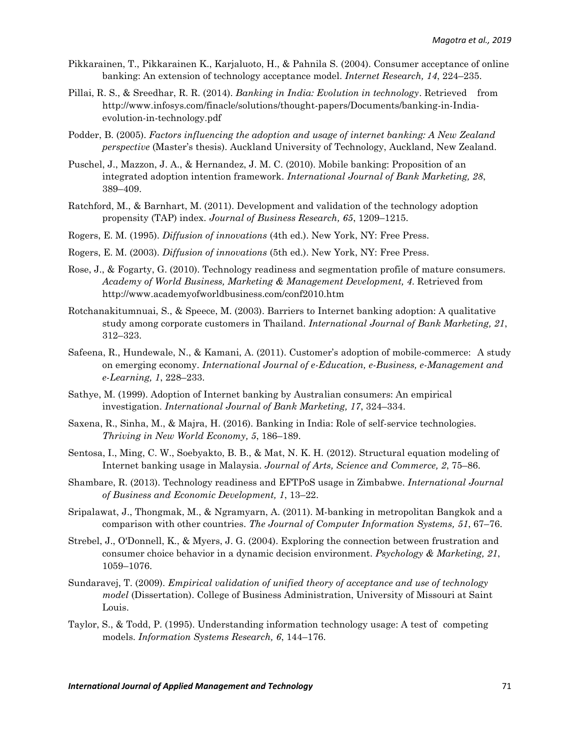- Pikkarainen, T., Pikkarainen K., Karjaluoto, H., & Pahnila S. (2004). Consumer acceptance of online banking: An extension of technology acceptance model. *Internet Research, 14*, 224–235.
- Pillai, R. S., & Sreedhar, R. R. (2014). *Banking in India: Evolution in technology*. Retrieved from http://www.infosys.com/finacle/solutions/thought-papers/Documents/banking-in-Indiaevolution-in-technology.pdf
- Podder, B. (2005). *Factors influencing the adoption and usage of internet banking: A New Zealand perspective* (Master's thesis). Auckland University of Technology, Auckland, New Zealand.
- Puschel, J., Mazzon, J. A., & Hernandez, J. M. C. (2010). Mobile banking: Proposition of an integrated adoption intention framework. *International Journal of Bank Marketing, 28*, 389–409.
- Ratchford, M., & Barnhart, M. (2011). Development and validation of the technology adoption propensity (TAP) index. *Journal of Business Research, 65*, 1209–1215.
- Rogers, E. M. (1995). *Diffusion of innovations* (4th ed.). New York, NY: Free Press.
- Rogers, E. M. (2003). *Diffusion of innovations* (5th ed.). New York, NY: Free Press.
- Rose, J., & Fogarty, G. (2010). Technology readiness and segmentation profile of mature consumers. *Academy of World Business, Marketing & Management Development, 4*. Retrieved from http://www.academyofworldbusiness.com/conf2010.htm
- Rotchanakitumnuai, S., & Speece, M. (2003). Barriers to Internet banking adoption: A qualitative study among corporate customers in Thailand. *International Journal of Bank Marketing, 21*, 312–323.
- Safeena, R., Hundewale, N., & Kamani, A. (2011). Customer's adoption of mobile-commerce: A study on emerging economy. *International Journal of e-Education, e-Business, e-Management and e-Learning, 1*, 228–233.
- Sathye, M. (1999). Adoption of Internet banking by Australian consumers: An empirical investigation. *International Journal of Bank Marketing, 17*, 324–334.
- Saxena, R., Sinha, M., & Majra, H. (2016). Banking in India: Role of self-service technologies. *Thriving in New World Economy, 5*, 186–189.
- Sentosa, I., Ming, C. W., Soebyakto, B. B., & Mat, N. K. H. (2012). Structural equation modeling of Internet banking usage in Malaysia. *Journal of Arts, Science and Commerce, 2*, 75–86.
- Shambare, R. (2013). Technology readiness and EFTPoS usage in Zimbabwe. *International Journal of Business and Economic Development, 1*, 13–22.
- Sripalawat, J., Thongmak, M., & Ngramyarn, A. (2011). M-banking in metropolitan Bangkok and a comparison with other countries. *The Journal of Computer Information Systems, 51*, 67–76.
- Strebel, J., O'Donnell, K., & Myers, J. G. (2004). Exploring the connection between frustration and consumer choice behavior in a dynamic decision environment. *Psychology & Marketing, 21*, 1059–1076.
- Sundaravej, T. (2009). *Empirical validation of unified theory of acceptance and use of technology model* (Dissertation). College of Business Administration, University of Missouri at Saint Louis.
- Taylor, S., & Todd, P. (1995). Understanding information technology usage: A test of competing models. *Information Systems Research, 6*, 144–176.